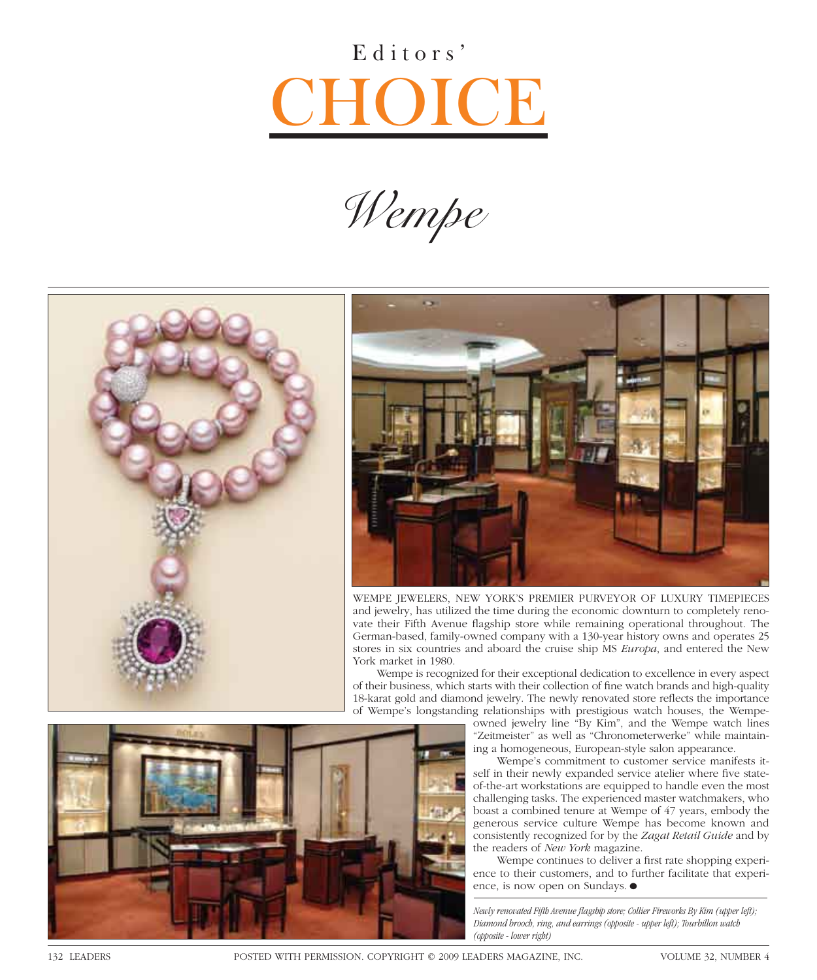## Editors' OICE

*Wempe*





wempe Jewelers, new yorK's premier purveyor oF luXury timepieces and jewelry, has utilized the time during the economic downturn to completely renovate their Fifth Avenue flagship store while remaining operational throughout. The german-based, family-owned company with a 130-year history owns and operates 25 stores in six countries and aboard the cruise ship ms *Europa*, and entered the new york market in 1980.

wempe is recognized for their exceptional dedication to excellence in every aspect of their business, which starts with their collection of fine watch brands and high-quality 18-karat gold and diamond jewelry. The newly renovated store reflects the importance of wempe's longstanding relationships with prestigious watch houses, the wempe-

owned jewelry line "by Kim", and the wempe watch lines "zeitmeister" as well as "chronometerwerke" while maintaining a homogeneous, European-style salon appearance.

wempe's commitment to customer service manifests itself in their newly expanded service atelier where five stateof-the-art workstations are equipped to handle even the most challenging tasks. The experienced master watchmakers, who boast a combined tenure at wempe of 47 years, embody the generous service culture wempe has become known and consistently recognized for by the *Zagat Retail Guide* and by the readers of *New York* magazine.

Wempe continues to deliver a first rate shopping experience to their customers, and to further facilitate that experience, is now open on Sundays. ●

Newly renovated Fifth Avenue flagship store; Collier Fireworks By Kim (upper left); *Diamond brooch, ring, and earrings (opposite - upper left); Tourbillon watch (opposite - lower right)*